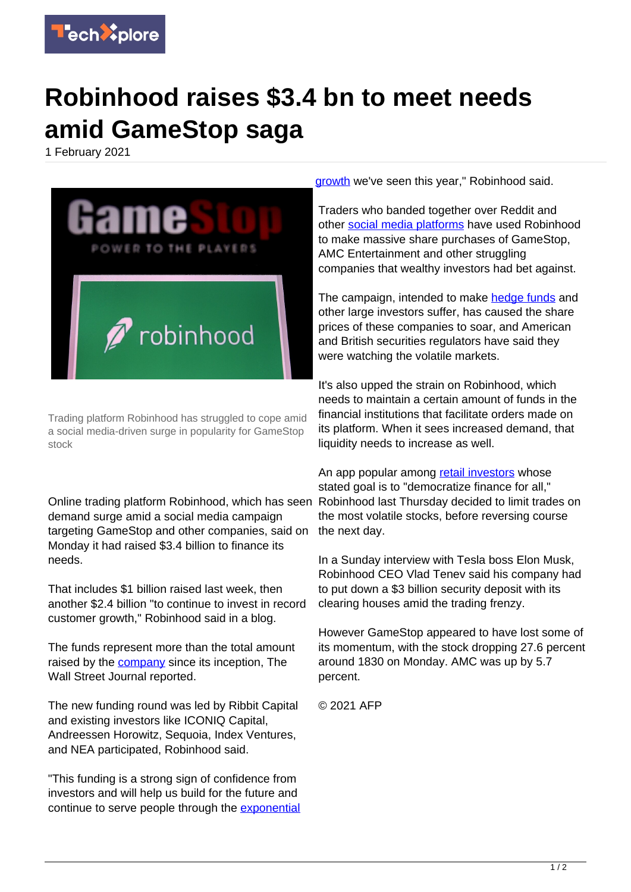

## **Robinhood raises \$3.4 bn to meet needs amid GameStop saga**

1 February 2021



Trading platform Robinhood has struggled to cope amid a social media-driven surge in popularity for GameStop stock

Online trading platform Robinhood, which has seen demand surge amid a social media campaign targeting GameStop and other companies, said on Monday it had raised \$3.4 billion to finance its needs.

That includes \$1 billion raised last week, then another \$2.4 billion "to continue to invest in record customer growth," Robinhood said in a blog.

The funds represent more than the total amount raised by the [company](https://techxplore.com/tags/company/) since its inception, The Wall Street Journal reported.

The new funding round was led by Ribbit Capital and existing investors like ICONIQ Capital, Andreessen Horowitz, Sequoia, Index Ventures, and NEA participated, Robinhood said.

"This funding is a strong sign of confidence from investors and will help us build for the future and continue to serve people through the [exponential](https://techxplore.com/tags/exponential+growth/) [growth](https://techxplore.com/tags/exponential+growth/) we've seen this year," Robinhood said.

Traders who banded together over Reddit and other [social media platforms](https://techxplore.com/tags/social+media+platforms/) have used Robinhood to make massive share purchases of GameStop, AMC Entertainment and other struggling companies that wealthy investors had bet against.

The campaign, intended to make [hedge funds](https://techxplore.com/tags/hedge+funds/) and other large investors suffer, has caused the share prices of these companies to soar, and American and British securities regulators have said they were watching the volatile markets.

It's also upped the strain on Robinhood, which needs to maintain a certain amount of funds in the financial institutions that facilitate orders made on its platform. When it sees increased demand, that liquidity needs to increase as well.

An app popular among [retail investors](https://techxplore.com/tags/retail+investors/) whose stated goal is to "democratize finance for all," Robinhood last Thursday decided to limit trades on the most volatile stocks, before reversing course the next day.

In a Sunday interview with Tesla boss Elon Musk, Robinhood CEO Vlad Tenev said his company had to put down a \$3 billion security deposit with its clearing houses amid the trading frenzy.

However GameStop appeared to have lost some of its momentum, with the stock dropping 27.6 percent around 1830 on Monday. AMC was up by 5.7 percent.

© 2021 AFP